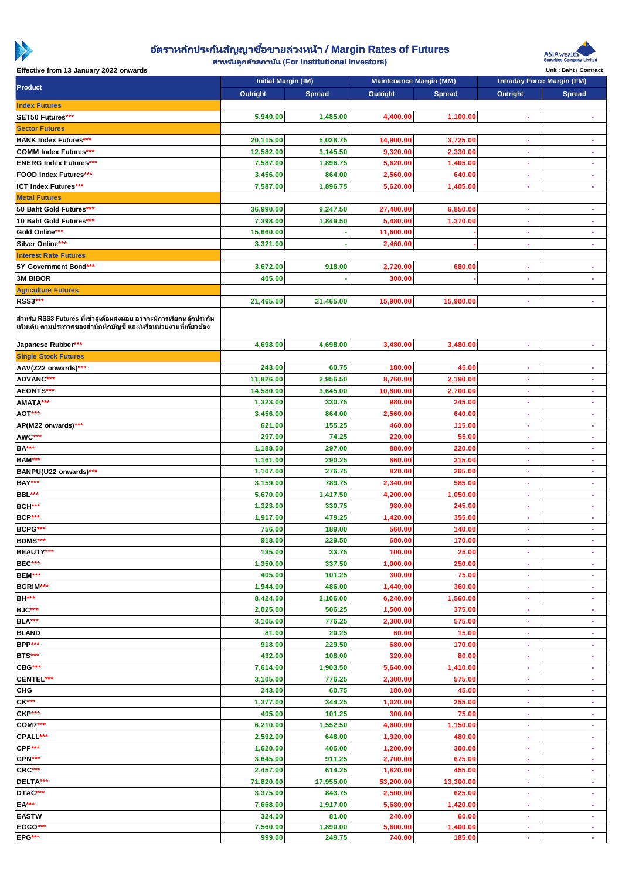

## **อตั ราหลกั ประกนั สญั ญาซือ้ ขายล่วงหน้า** / Margin Rates of Futures

**ส าหรับลูกค้าสถาบัน** (For Institutional Investors)



Effective from 13 January 2022 onwards **Exercise Contract on the Unit : Baht / Contract Contract Contract** Unit : Baht / Contract

| Product                                                                                                                                   | Initial Margin (IM) |           | Maintenance Margin (MM) |           | Intraday Force Margin (FM) |                |
|-------------------------------------------------------------------------------------------------------------------------------------------|---------------------|-----------|-------------------------|-----------|----------------------------|----------------|
|                                                                                                                                           | Outright            | Spread    | Outright                | Spread    | Outright                   | Spread         |
| <b>Index Futures</b>                                                                                                                      |                     |           |                         |           |                            |                |
| SET50 Futures***                                                                                                                          | 5,940.00            | 1,485.00  | 4,400.00                | 1,100.00  | ÷,                         | $\sim$         |
| <b>Sector Futures</b>                                                                                                                     |                     |           |                         |           |                            |                |
| <b>BANK Index Futures***</b>                                                                                                              | 20,115.00           | 5,028.75  | 14,900.00               | 3,725.00  | ä,                         | ×              |
| <b>COMM Index Futures***</b>                                                                                                              | 12,582.00           | 3,145.50  | 9,320.00                | 2,330.00  | ٠                          | $\sim$         |
| <b>ENERG Index Futures***</b>                                                                                                             | 7,587.00            | 1,896.75  | 5,620.00                | 1,405.00  |                            |                |
| FOOD Index Futures***                                                                                                                     | 3,456.00            | 864.00    | 2,560.00                | 640.00    | $\omega$                   | $\omega$       |
| ICT Index Futures***                                                                                                                      | 7,587.00            | 1,896.75  | 5,620.00                | 1,405.00  | ÷                          | $\sim$         |
| <b>Metal Futures</b>                                                                                                                      |                     |           |                         |           |                            |                |
| 50 Baht Gold Futures***                                                                                                                   | 36,990.00           | 9,247.50  | 27,400.00               | 6,850.00  | ä,                         | $\omega$       |
| 10 Baht Gold Futures***                                                                                                                   | 7,398.00            | 1,849.50  | 5,480.00                | 1,370.00  | ÷                          | ×              |
| Gold Online***                                                                                                                            | 15,660.00           |           | 11,600.00               |           | ÷                          | ×              |
| Silver Online***                                                                                                                          | 3,321.00            |           | 2,460.00                |           | ÷.                         | $\omega$       |
| <b>Interest Rate Futures</b>                                                                                                              |                     |           |                         |           |                            |                |
| 5Y Government Bond***                                                                                                                     | 3,672.00            | 918.00    | 2,720.00                | 680.00    | $\overline{\phantom{a}}$   | ×              |
| <b>3M BIBOR</b>                                                                                                                           | 405.00              |           | 300.00                  |           | ÷                          | $\omega$       |
| <b>Agriculture Futures</b>                                                                                                                |                     |           |                         |           |                            |                |
| RSS3***                                                                                                                                   | 21,465.00           | 21,465.00 | 15,900.00               | 15,900.00 | ٠                          | ×              |
|                                                                                                                                           |                     |           |                         |           |                            |                |
| สำหรับ RSS3 Futures ที่เข้าสู่เดือนส่งมอบ อาจจะมีการเรียกหลักประกัน<br>้เพิ่มเติม ตามประกาศของสำนักหักบัญชี และ/หรือหน่วยงานที่เกี่ยวข้อง |                     |           |                         |           |                            |                |
| Japanese Rubber***                                                                                                                        | 4,698.00            | 4,698.00  | 3,480.00                | 3,480.00  |                            | ×              |
| <b>Single Stock Futures</b>                                                                                                               |                     |           |                         |           |                            |                |
| AAV(Z22 onwards)***                                                                                                                       | 243.00              | 60.75     | 180.00                  | 45.00     | ÷                          | $\bullet$      |
| ADVANC***                                                                                                                                 | 11,826.00           | 2,956.50  | 8,760.00                | 2,190.00  | ÷                          | $\blacksquare$ |
| AEONTS***                                                                                                                                 | 14,580.00           | 3,645.00  | 10,800.00               | 2,700.00  | $\sim$                     | $\omega$       |
| AMATA***                                                                                                                                  | 1,323.00            | 330.75    | 980.00                  | 245.00    | ÷.                         | ×              |
| AOT***                                                                                                                                    | 3,456.00            | 864.00    | 2,560.00                | 640.00    | Ξ                          | ×              |
| AP(M22 onwards)***                                                                                                                        | 621.00              | 155.25    | 460.00                  | 115.00    | $\omega$                   | $\omega$       |
| AWC***                                                                                                                                    | 297.00              | 74.25     | 220.00                  | 55.00     | ÷                          | $\bullet$      |
| <b>BA***</b>                                                                                                                              | 1,188.00            | 297.00    | 880.00                  | 220.00    | ÷                          | $\bullet$      |
| BAM***                                                                                                                                    | 1,161.00            | 290.25    | 860.00                  | 215.00    | ÷                          | $\sim$         |
| BANPU(U22 onwards)***                                                                                                                     | 1,107.00            | 276.75    | 820.00                  | 205.00    | ÷                          | ×              |
| BAY***                                                                                                                                    | 3,159.00            | 789.75    | 2,340.00                | 585.00    | Ξ                          | ×.             |
| BBL***                                                                                                                                    | 5,670.00            | 1,417.50  | 4,200.00                | 1,050.00  | ÷                          | ×.             |
| BCH***                                                                                                                                    |                     |           |                         |           | ÷                          | ×              |
| BCP***                                                                                                                                    | 1,323.00            | 330.75    | 980.00                  | 245.00    |                            |                |
|                                                                                                                                           | 1,917.00            | 479.25    | 1,420.00                | 355.00    | ÷                          | $\sim$         |
| BCPG***                                                                                                                                   | 756.00              | 189.00    | 560.00                  | 140.00    | ÷                          | $\sim$         |
| BDMS***                                                                                                                                   | 918.00              | 229.50    | 680.00                  | 170.00    | $\sim$                     | ÷.             |
| BEAUTY***                                                                                                                                 | 135.00              | 33.75     | 100.00                  | 25.00     | ×.                         | $\omega$       |
| BEC***                                                                                                                                    | 1,350.00            | 337.50    | 1,000.00                | 250.00    | ٠                          | ٠              |
| BEM***                                                                                                                                    | 405.00              | 101.25    | 300.00                  | 75.00     | ÷.                         | ×              |
| BGRIM***                                                                                                                                  | 1,944.00            | 486.00    | 1,440.00                | 360.00    | ÷                          | $\sim$         |
| <b>BH***</b>                                                                                                                              | 8,424.00            | 2,106.00  | 6,240.00                | 1,560.00  | ٠                          | ٠              |
| BJC***                                                                                                                                    | 2,025.00            | 506.25    | 1,500.00                | 375.00    | $\sim$                     | $\omega$       |
| BLA***                                                                                                                                    | 3,105.00            | 776.25    | 2,300.00                | 575.00    | ÷.                         | $\sim$         |
| <b>BLAND</b>                                                                                                                              | 81.00               | 20.25     | 60.00                   | 15.00     | Ξ                          | $\sim$         |
| BPP***                                                                                                                                    | 918.00              | 229.50    | 680.00                  | 170.00    | ÷                          | ÷.             |
| BTS***                                                                                                                                    | 432.00              | 108.00    | 320.00                  | 80.00     | ÷                          | ×.             |
| CBG***                                                                                                                                    | 7,614.00            | 1,903.50  | 5,640.00                | 1,410.00  | ÷                          | $\blacksquare$ |
| CENTEL***                                                                                                                                 | 3,105.00            | 776.25    | 2,300.00                | 575.00    | ÷                          | ÷.             |
| <b>CHG</b>                                                                                                                                | 243.00              | 60.75     | 180.00                  | 45.00     | ÷                          | $\sim$         |
| $CK***$                                                                                                                                   | 1,377.00            | 344.25    | 1,020.00                | 255.00    | ÷                          | ×              |
| CKP***                                                                                                                                    | 405.00              | 101.25    | 300.00                  | 75.00     | ä,                         | ÷.             |
| <b>COM7***</b>                                                                                                                            | 6,210.00            | 1,552.50  | 4,600.00                | 1,150.00  | ÷                          | ×.             |
| CPALL***                                                                                                                                  | 2,592.00            | 648.00    | 1,920.00                | 480.00    | ÷                          | $\sim$         |
| CPF***                                                                                                                                    | 1,620.00            | 405.00    | 1,200.00                | 300.00    | ÷                          | ×.             |
| CPN***                                                                                                                                    | 3,645.00            | 911.25    | 2,700.00                | 675.00    | ÷                          | ×.             |
| CRC***                                                                                                                                    | 2,457.00            | 614.25    | 1,820.00                | 455.00    | ÷.                         | ÷.             |
| DELTA***                                                                                                                                  | 71,820.00           | 17,955.00 | 53,200.00               | 13,300.00 | ÷                          | ×              |
| DTAC***                                                                                                                                   | 3,375.00            | 843.75    | 2,500.00                | 625.00    | ÷                          | $\sim$         |
| $EA***$                                                                                                                                   | 7,668.00            | 1,917.00  | 5,680.00                | 1,420.00  | ٠                          | ٠              |
| <b>EASTW</b>                                                                                                                              | 324.00              | 81.00     | 240.00                  | 60.00     | ÷                          | ×              |
| EGCO***                                                                                                                                   | 7,560.00            | 1,890.00  | 5,600.00                | 1,400.00  | Ξ                          | ×.             |
| EPG***                                                                                                                                    | 999.00              | 249.75    | 740.00                  | 185.00    | ÷                          | $\sim$         |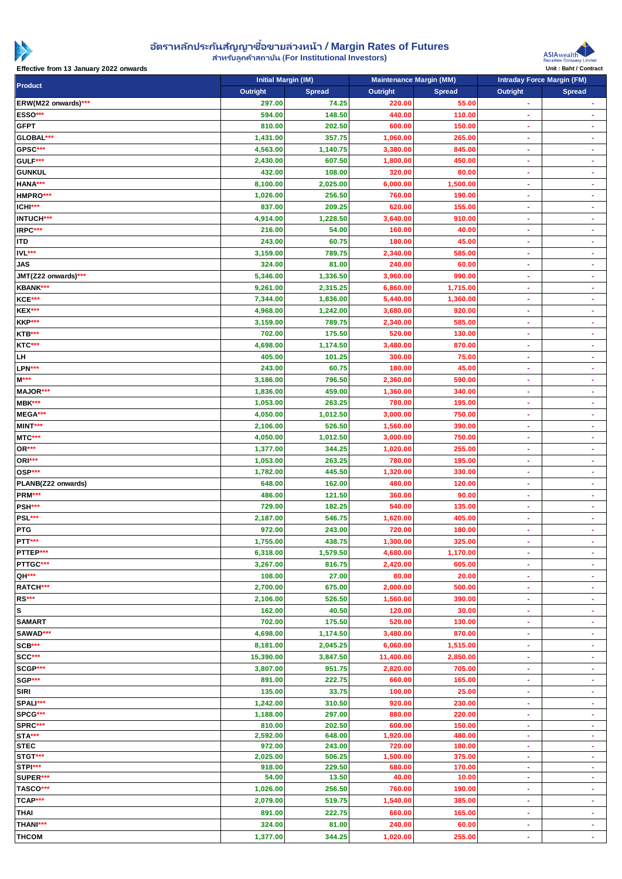

## **อตั ราหลกั ประกนั สญั ญาซือ้ ขายล่วงหน้า** / Margin Rates of Futures

**ส าหรับลูกค้าสถาบัน** (For Institutional Investors)

Initial Margin (IM) Maintenance Margin (MM) Intraday Force Margin (FM)



Effective from 13 January 2022 onwards and the contract of the contract of the contract of the contract of the contract of the contract of the contract of the contract of the contract of the contract of the contract of the

| Product             | Outright  | $\sim$ $\sim$ $\sim$<br>Spread | Outright  | Spread   | Outright  | Spread         |
|---------------------|-----------|--------------------------------|-----------|----------|-----------|----------------|
| ERW(M22 onwards)*** | 297.00    | 74.25                          | 220.00    | 55.00    | $\omega$  | $\omega$       |
| ESSO***             | 594.00    | 148.50                         | 440.00    | 110.00   |           | ٠              |
| <b>GFPT</b>         | 810.00    | 202.50                         | 600.00    | 150.00   | ÷         | ÷              |
| GLOBAL***           | 1,431.00  | 357.75                         | 1,060.00  | 265.00   | ÷.        | $\omega$       |
| GPSC***             | 4,563.00  | 1,140.75                       | 3,380.00  | 845.00   | ÷         | $\blacksquare$ |
| GULF***             | 2,430.00  | 607.50                         | 1,800.00  | 450.00   | ÷         | ÷              |
| <b>GUNKUL</b>       | 432.00    | 108.00                         | 320.00    | 80.00    | ÷         | $\blacksquare$ |
| HANA***             | 8,100.00  | 2,025.00                       | 6,000.00  | 1,500.00 | ٠         | ÷              |
| HMPRO***            | 1,026.00  | 256.50                         | 760.00    | 190.00   | ÷         | ٠              |
| ICHI***             | 837.00    | 209.25                         | 620.00    | 155.00   | ÷         | ÷,             |
| INTUCH***           | 4,914.00  | 1,228.50                       | 3,640.00  | 910.00   | ÷         | $\omega$       |
| IRPC***             | 216.00    | 54.00                          | 160.00    | 40.00    | ÷         | $\omega$       |
| <b>ITD</b>          | 243.00    | 60.75                          | 180.00    | 45.00    | ٠         | ٠              |
| IVL***              | 3,159.00  | 789.75                         | 2,340.00  | 585.00   | ÷         | $\blacksquare$ |
| <b>JAS</b>          | 324.00    | 81.00                          | 240.00    | 60.00    | ٠         | ٠              |
| JMT(Z22 onwards)*** | 5,346.00  | 1,336.50                       | 3,960.00  | 990.00   |           |                |
| KBANK***            | 9,261.00  | 2,315.25                       | 6,860.00  | 1,715.00 | ÷         | ä,             |
| KCE***              | 7,344.00  | 1,836.00                       | 5,440.00  | 1,360.00 | ÷         | ٠              |
| KEX***              | 4,968.00  | 1,242.00                       | 3,680.00  | 920.00   | ٠         | ٠              |
| KKP***              | 3,159.00  | 789.75                         | 2,340.00  | 585.00   | ÷         | $\omega$       |
|                     |           | 175.50                         | 520.00    | 130.00   | ÷         | ÷.             |
| KTB***<br>KTC***    | 702.00    |                                |           | 870.00   |           |                |
|                     | 4,698.00  | 1,174.50                       | 3,480.00  |          | ÷         | ٠              |
| LH                  | 405.00    | 101.25                         | 300.00    | 75.00    | ÷         | $\omega$       |
| LPN***              | 243.00    | 60.75                          | 180.00    | 45.00    | ÷         | $\blacksquare$ |
| $M***$              | 3,186.00  | 796.50                         | 2,360.00  | 590.00   | ÷         | ÷              |
| MAJOR***            | 1,836.00  | 459.00                         | 1,360.00  | 340.00   | ÷.        | $\omega$       |
| MBK***              | 1,053.00  | 263.25                         | 780.00    | 195.00   | ÷         | ÷              |
| MEGA***             | 4,050.00  | 1,012.50                       | 3,000.00  | 750.00   | ÷         | ÷              |
| MINT***             | 2,106.00  | 526.50                         | 1,560.00  | 390.00   | ÷         | ÷              |
| MTC***              | 4,050.00  | 1,012.50                       | 3,000.00  | 750.00   | ÷         | ٠              |
| OR***               | 1,377.00  | 344.25                         | 1,020.00  | 255.00   | ÷         | $\blacksquare$ |
| ORI***              | 1,053.00  | 263.25                         | 780.00    | 195.00   | ٠         | ×              |
| OSP***              | 1,782.00  | 445.50                         | 1,320.00  | 330.00   | ÷         | $\omega$       |
| PLANB(Z22 onwards)  | 648.00    | 162.00                         | 480.00    | 120.00   | ÷         | ä,             |
| PRM***              | 486.00    | 121.50                         | 360.00    | 90.00    |           |                |
| PSH***              | 729.00    | 182.25                         | 540.00    | 135.00   | ÷         | $\omega$       |
| PSL***              | 2,187.00  | 546.75                         | 1,620.00  | 405.00   | ÷         | $\blacksquare$ |
| <b>PTG</b>          | 972.00    | 243.00                         | 720.00    | 180.00   |           |                |
| PTT***              | 1,755.00  | 438.75                         | 1,300.00  | 325.00   | ٠         |                |
| <b>PTTEP</b>        | 6,318.00  | 1,579.50                       | 4,680.00  | 1,170.00 |           |                |
| PTTGC***            | 3,267.00  | 816.75                         | 2,420.00  | 605.00   |           |                |
| QH***               | 108.00    | 27.00                          | 80.00     | 20.00    | ÷.        | ÷.             |
| RATCH***            | 2,700.00  | 675.00                         | 2,000.00  | 500.00   | ÷         | ×.             |
| RS***               | 2,106.00  | 526.50                         | 1,560.00  | 390.00   | ÷         | $\blacksquare$ |
| $\mathsf{s}$        | 162.00    | 40.50                          | 120.00    | 30.00    | ÷         | $\omega$       |
| <b>SAMART</b>       | 702.00    | 175.50                         | 520.00    | 130.00   | ÷         | ÷              |
| SAWAD***            | 4,698.00  | 1,174.50                       | 3,480.00  | 870.00   | ÷         | ä,             |
| SCB***              | 8,181.00  | 2,045.25                       | 6,060.00  | 1,515.00 | ٠         | ÷              |
| SCC***              | 15,390.00 | 3,847.50                       | 11,400.00 | 2,850.00 | ÷         | ÷              |
| SCGP***             | 3,807.00  | 951.75                         | 2,820.00  | 705.00   | ÷         | ٠              |
| SGP***              | 891.00    | 222.75                         | 660.00    | 165.00   | ٠         | ٠              |
| <b>SIRI</b>         | 135.00    | 33.75                          | 100.00    | 25.00    | ÷         | ä,             |
| SPALI***            | 1,242.00  | 310.50                         | 920.00    | 230.00   | ÷         | ×.             |
| SPCG***             | 1,188.00  | 297.00                         | 880.00    | 220.00   | ÷         | ÷              |
| SPRC***             | 810.00    | 202.50                         | 600.00    | 150.00   | ÷         | $\sim$         |
| STA***              | 2,592.00  | 648.00                         | 1,920.00  | 480.00   | ÷         | ×.             |
| <b>STEC</b>         | 972.00    | 243.00                         | 720.00    | 180.00   |           | ä,             |
| STGT***             | 2,025.00  | 506.25                         | 1,500.00  | 375.00   | $\bullet$ | $\sim$         |
| STPI***             | 918.00    | 229.50                         | 680.00    | 170.00   | ÷         | $\sim$         |
| SUPER***            | 54.00     | 13.50                          | 40.00     | 10.00    | ٠         | ٠              |
| TASCO***            | 1,026.00  | 256.50                         | 760.00    | 190.00   | ÷         | ä,             |
| TCAP***             | 2,079.00  | 519.75                         | 1,540.00  | 385.00   | ٠         | ÷              |
| <b>THAI</b>         | 891.00    | 222.75                         | 660.00    | 165.00   | ÷         | ×.             |
| THANI***            | 324.00    | 81.00                          | 240.00    | 60.00    | ÷         | $\sim$         |
| <b>THCOM</b>        | 1,377.00  | 344.25                         | 1,020.00  | 255.00   | ÷         | $\sim$         |
|                     |           |                                |           |          |           |                |